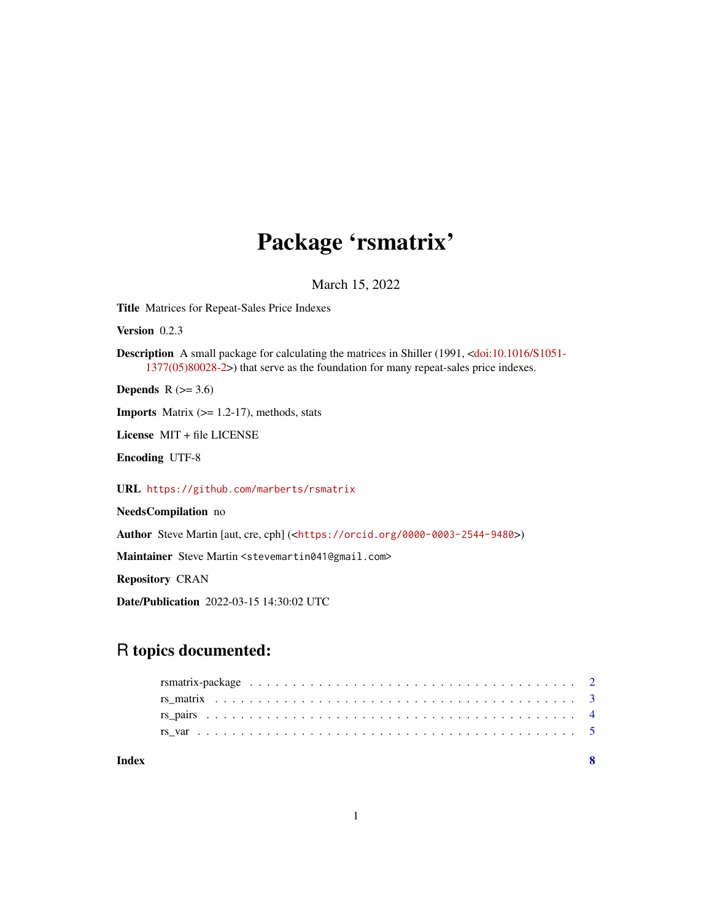## Package 'rsmatrix'

March 15, 2022

<span id="page-0-0"></span>Title Matrices for Repeat-Sales Price Indexes

Version 0.2.3

Description A small package for calculating the matrices in Shiller (1991, [<doi:10.1016/S1051-](https://doi.org/10.1016/S1051-1377(05)80028-2) [1377\(05\)80028-2>](https://doi.org/10.1016/S1051-1377(05)80028-2)) that serve as the foundation for many repeat-sales price indexes.

Depends  $R$  ( $>= 3.6$ )

**Imports** Matrix  $(>= 1.2-17)$ , methods, stats

License MIT + file LICENSE

Encoding UTF-8

URL <https://github.com/marberts/rsmatrix>

NeedsCompilation no

Author Steve Martin [aut, cre, cph] (<<https://orcid.org/0000-0003-2544-9480>>)

Maintainer Steve Martin <stevemartin041@gmail.com>

Repository CRAN

Date/Publication 2022-03-15 14:30:02 UTC

### R topics documented:

| Index |  |
|-------|--|
|       |  |
|       |  |
|       |  |
|       |  |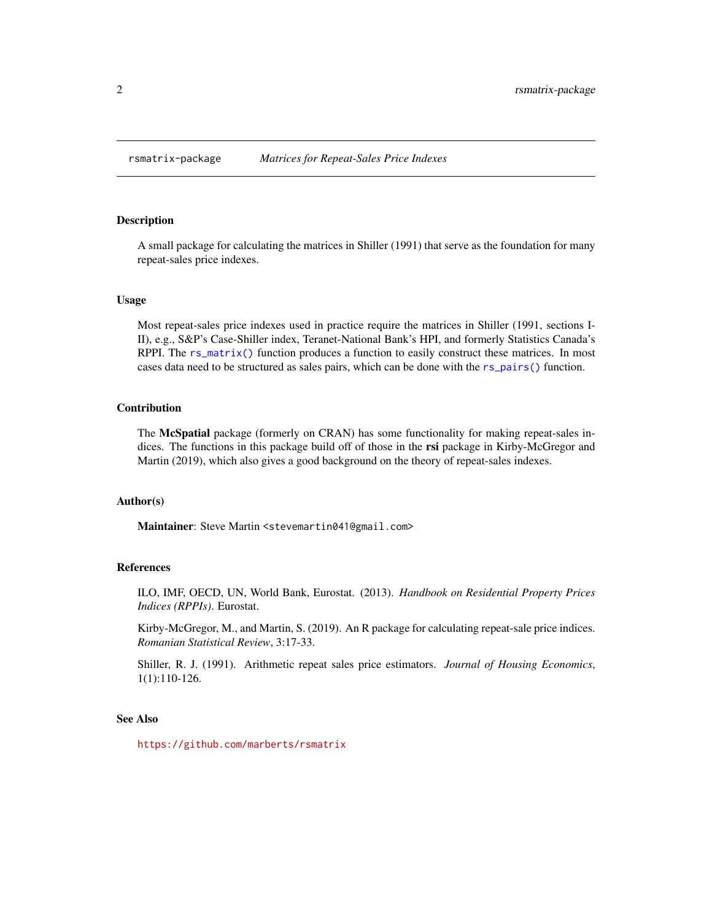<span id="page-1-0"></span>

#### Description

A small package for calculating the matrices in Shiller (1991) that serve as the foundation for many repeat-sales price indexes.

#### Usage

Most repeat-sales price indexes used in practice require the matrices in Shiller (1991, sections I-II), e.g., S&P's Case-Shiller index, Teranet-National Bank's HPI, and formerly Statistics Canada's RPPI. The [rs\\_matrix\(\)](#page-2-1) function produces a function to easily construct these matrices. In most cases data need to be structured as sales pairs, which can be done with the [rs\\_pairs\(\)](#page-3-1) function.

#### Contribution

The McSpatial package (formerly on CRAN) has some functionality for making repeat-sales indices. The functions in this package build off of those in the rsi package in Kirby-McGregor and Martin (2019), which also gives a good background on the theory of repeat-sales indexes.

#### Author(s)

Maintainer: Steve Martin <stevemartin041@gmail.com>

#### References

ILO, IMF, OECD, UN, World Bank, Eurostat. (2013). *Handbook on Residential Property Prices Indices (RPPIs)*. Eurostat.

Kirby-McGregor, M., and Martin, S. (2019). An R package for calculating repeat-sale price indices. *Romanian Statistical Review*, 3:17-33.

Shiller, R. J. (1991). Arithmetic repeat sales price estimators. *Journal of Housing Economics*, 1(1):110-126.

#### See Also

<https://github.com/marberts/rsmatrix>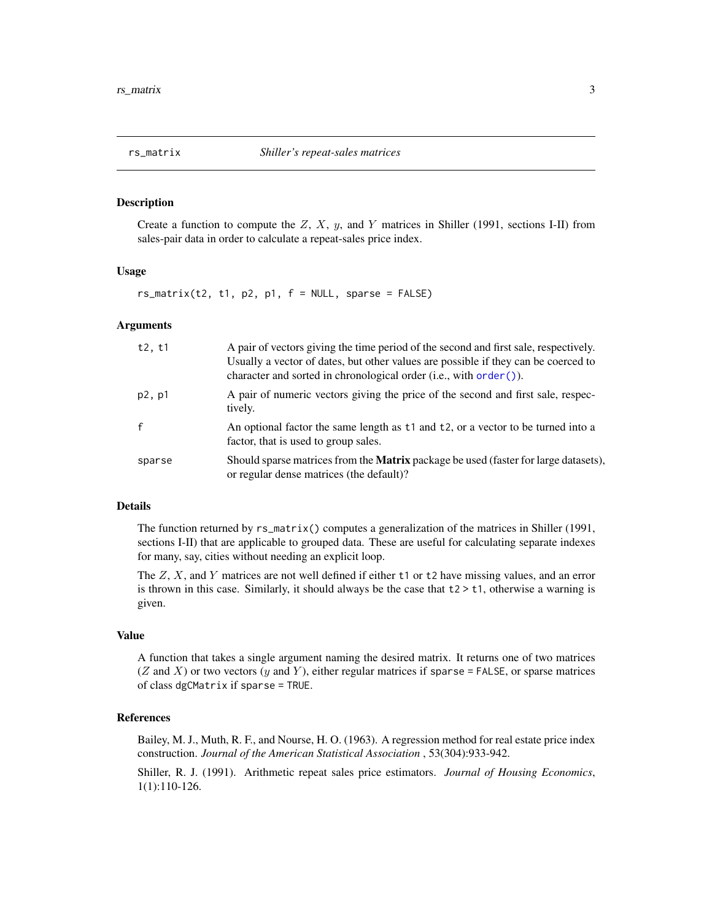<span id="page-2-1"></span><span id="page-2-0"></span>

#### Description

Create a function to compute the  $Z$ ,  $X$ ,  $y$ , and  $Y$  matrices in Shiller (1991, sections I-II) from sales-pair data in order to calculate a repeat-sales price index.

#### Usage

 $rs_matrix(t2, t1, p2, p1, f = NULL, sparse = FALSE)$ 

#### Arguments

| t2, t1 | A pair of vectors giving the time period of the second and first sale, respectively.<br>Usually a vector of dates, but other values are possible if they can be coerced to<br>character and sorted in chronological order (i.e., with order ()). |
|--------|--------------------------------------------------------------------------------------------------------------------------------------------------------------------------------------------------------------------------------------------------|
| p2, p1 | A pair of numeric vectors giving the price of the second and first sale, respec-<br>tively.                                                                                                                                                      |
| f      | An optional factor the same length as t1 and t2, or a vector to be turned into a<br>factor, that is used to group sales.                                                                                                                         |
| sparse | Should sparse matrices from the <b>Matrix</b> package be used (faster for large datasets),<br>or regular dense matrices (the default)?                                                                                                           |

#### Details

The function returned by rs\_matrix() computes a generalization of the matrices in Shiller (1991, sections I-II) that are applicable to grouped data. These are useful for calculating separate indexes for many, say, cities without needing an explicit loop.

The  $Z$ ,  $X$ , and  $Y$  matrices are not well defined if either t1 or t2 have missing values, and an error is thrown in this case. Similarly, it should always be the case that  $t2 \geq t1$ , otherwise a warning is given.

#### Value

A function that takes a single argument naming the desired matrix. It returns one of two matrices  $(Z \text{ and } X)$  or two vectors  $(y \text{ and } Y)$ , either regular matrices if sparse = FALSE, or sparse matrices of class dgCMatrix if sparse = TRUE.

#### References

Bailey, M. J., Muth, R. F., and Nourse, H. O. (1963). A regression method for real estate price index construction. *Journal of the American Statistical Association* , 53(304):933-942.

Shiller, R. J. (1991). Arithmetic repeat sales price estimators. *Journal of Housing Economics*, 1(1):110-126.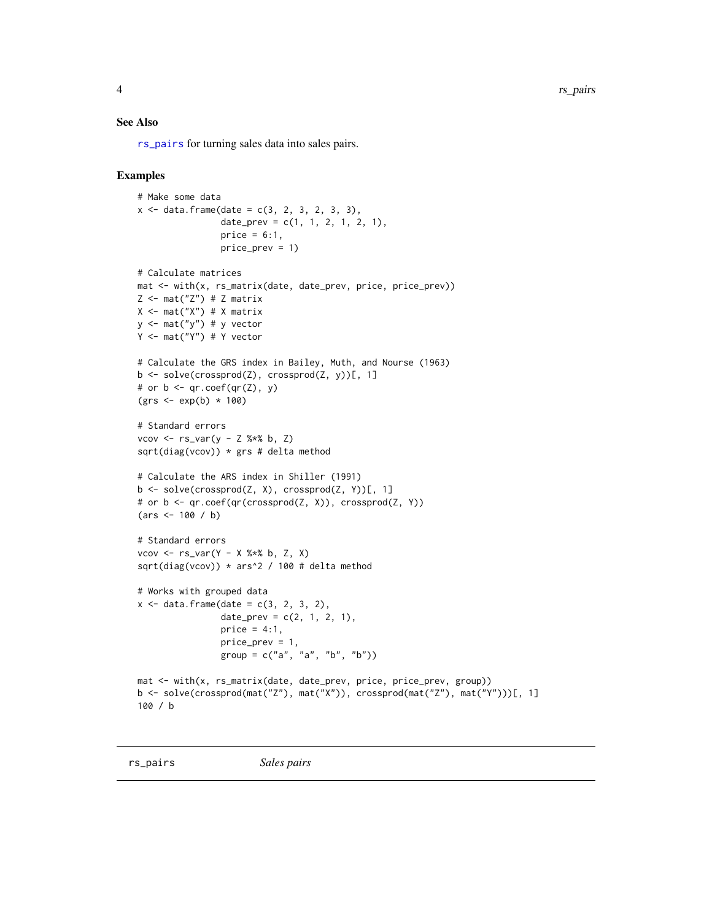<span id="page-3-0"></span>4 rs\_pairs and the set of the set of the set of the set of the set of the set of the set of the set of the set of the set of the set of the set of the set of the set of the set of the set of the set of the set of the set o

#### See Also

[rs\\_pairs](#page-3-1) for turning sales data into sales pairs.

#### Examples

```
# Make some data
x \le - data.frame(date = c(3, 2, 3, 2, 3, 3),
                 date_prev = c(1, 1, 2, 1, 2, 1),
                 price = 6:1,
                 price_prev = 1)
# Calculate matrices
mat <- with(x, rs_matrix(date, date_prev, price, price_prev))
Z \leftarrow mat("Z") # Z matrix
X \leftarrow \text{mat("X")} # X matrixy \leftarrow \text{mat("y") # y vector}Y <- mat("Y") # Y vector
# Calculate the GRS index in Bailey, Muth, and Nourse (1963)
b <- solve(crossprod(Z), crossprod(Z, y))[, 1]
# or b \leq qr \cdot \text{coef}(qr(Z), y)(grs \leq exp(b) * 100)# Standard errors
vcov <- rs_var(y - Z %*% b, Z)
sqrt(diag(vcov)) * grs # delta method
# Calculate the ARS index in Shiller (1991)
b \leq solve(crossprod(Z, X), crossprod(Z, Y))[, 1]
# or b <- qr.coef(qr(crossprod(Z, X)), crossprod(Z, Y))
(\text{ars} < -100 / b)# Standard errors
vcov \leq r s\_var(Y - X % * % b, Z, X)sqrt(diag(vcov)) * ars^2 / 100 # delta method
# Works with grouped data
x \le - data.frame(date = c(3, 2, 3, 2),
                 date_prev = c(2, 1, 2, 1),
                 price = 4:1,
                 price_prev = 1,
                 group = c("a", "a", "b", "b")mat <- with(x, rs_matrix(date, date_prev, price, price_prev, group))
b <- solve(crossprod(mat("Z"), mat("X")), crossprod(mat("Z"), mat("Y")))[, 1]
100 / b
```
<span id="page-3-1"></span>rs\_pairs *Sales pairs*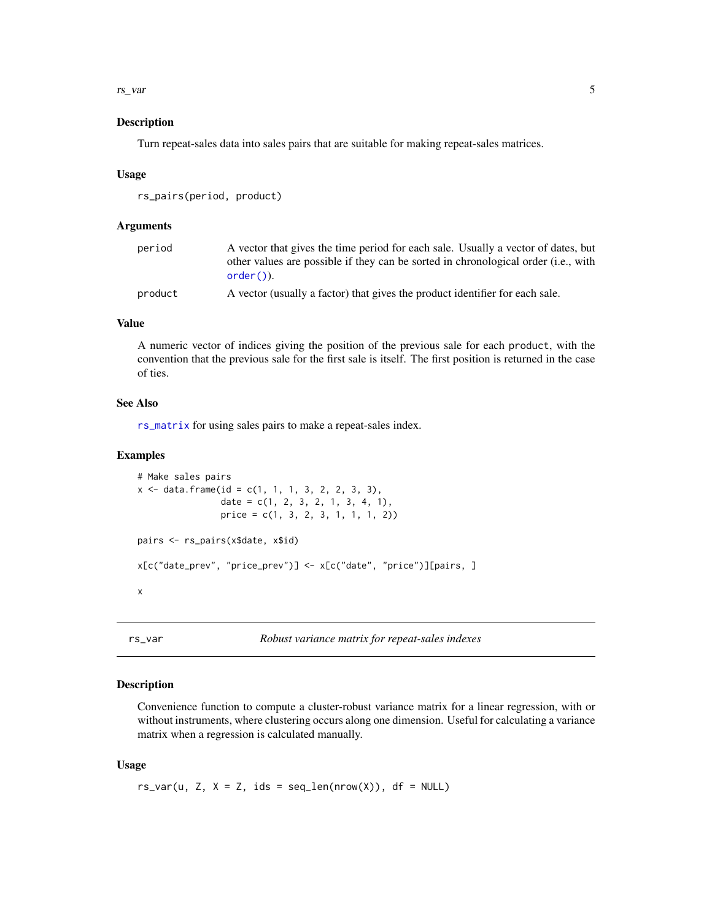#### <span id="page-4-0"></span>rs\_var 5

#### Description

Turn repeat-sales data into sales pairs that are suitable for making repeat-sales matrices.

#### Usage

```
rs_pairs(period, product)
```
#### Arguments

| period  | A vector that gives the time period for each sale. Usually a vector of dates, but  |
|---------|------------------------------------------------------------------------------------|
|         | other values are possible if they can be sorted in chronological order (i.e., with |
|         | $order()$ ).                                                                       |
| product | A vector (usually a factor) that gives the product identifier for each sale.       |

#### Value

A numeric vector of indices giving the position of the previous sale for each product, with the convention that the previous sale for the first sale is itself. The first position is returned in the case of ties.

#### See Also

[rs\\_matrix](#page-2-1) for using sales pairs to make a repeat-sales index.

#### Examples

```
# Make sales pairs
x \le - data.frame(id = c(1, 1, 1, 3, 2, 2, 3, 3),
                date = c(1, 2, 3, 2, 1, 3, 4, 1),
                price = c(1, 3, 2, 3, 1, 1, 1, 2))
pairs <- rs_pairs(x$date, x$id)
x[c("date_prev", "price_prev")] <- x[c("date", "price")][pairs, ]
x
```
rs\_var *Robust variance matrix for repeat-sales indexes*

#### Description

Convenience function to compute a cluster-robust variance matrix for a linear regression, with or without instruments, where clustering occurs along one dimension. Useful for calculating a variance matrix when a regression is calculated manually.

#### Usage

 $rs\_var(u, Z, X = Z, ids = seq\_len(nrow(X)), df = NULL)$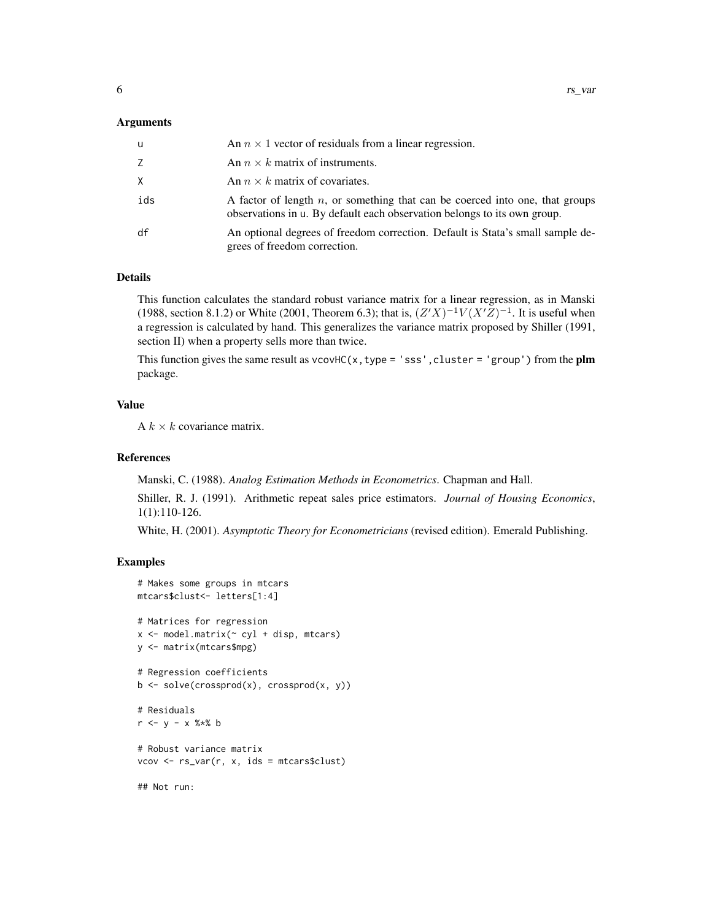#### Arguments

| u   | An $n \times 1$ vector of residuals from a linear regression.                                                                                               |
|-----|-------------------------------------------------------------------------------------------------------------------------------------------------------------|
| Z.  | An $n \times k$ matrix of instruments.                                                                                                                      |
| X.  | An $n \times k$ matrix of covariates.                                                                                                                       |
| ids | A factor of length $n$ , or something that can be coerced into one, that groups<br>observations in u. By default each observation belongs to its own group. |
| df  | An optional degrees of freedom correction. Default is Stata's small sample de-<br>grees of freedom correction.                                              |

#### Details

This function calculates the standard robust variance matrix for a linear regression, as in Manski (1988, section 8.1.2) or White (2001, Theorem 6.3); that is,  $(Z'X)^{-1}V(X'Z)^{-1}$ . It is useful when a regression is calculated by hand. This generalizes the variance matrix proposed by Shiller (1991, section II) when a property sells more than twice.

This function gives the same result as vcovHC(x, type = 'sss', cluster = 'group') from the plm package.

#### Value

A  $k \times k$  covariance matrix.

#### References

Manski, C. (1988). *Analog Estimation Methods in Econometrics*. Chapman and Hall.

Shiller, R. J. (1991). Arithmetic repeat sales price estimators. *Journal of Housing Economics*, 1(1):110-126.

White, H. (2001). *Asymptotic Theory for Econometricians* (revised edition). Emerald Publishing.

#### Examples

```
# Makes some groups in mtcars
mtcars$clust<- letters[1:4]
# Matrices for regression
x \le model.matrix(\sim cy1 + disp, mtcars)
y <- matrix(mtcars$mpg)
# Regression coefficients
b \leq solve(crossprod(x), crossprod(x, y))
# Residuals
r <- y - x %*% b
# Robust variance matrix
vcov <- rs_var(r, x, ids = mtcars$clust)
## Not run:
```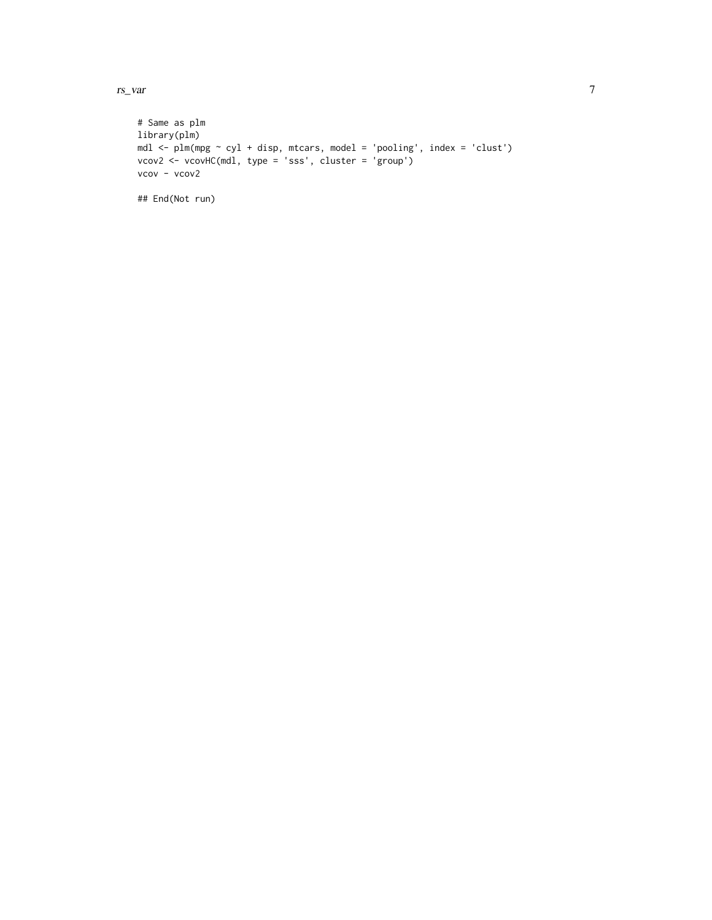rs\_var 7

```
# Same as plm
library(plm)
mdl <- plm(mpg ~ cyl + disp, mtcars, model = 'pooling', index = 'clust')
vcov2 <- vcovHC(mdl, type = 'sss', cluster = 'group')
vcov - vcov2
## End(Not run)
```